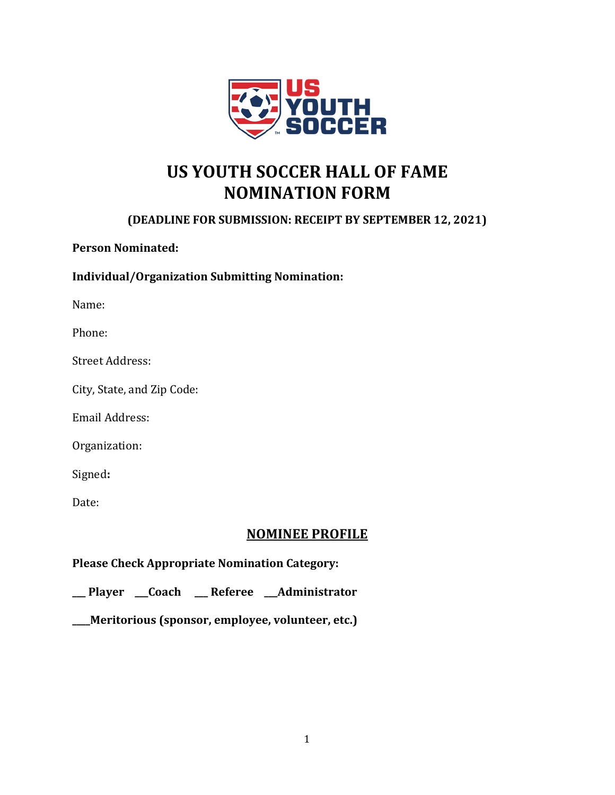

# **US YOUTH SOCCER HALL OF FAME NOMINATION FORM**

## **(DEADLINE FOR SUBMISSION: RECEIPT BY SEPTEMBER 12, 2021)**

**Person Nominated:** 

**Individual/Organization Submitting Nomination:**

Name:

Phone:

Street Address:

City, State, and Zip Code:

Email Address:

Organization:

Signed**:** 

Date:

### **NOMINEE PROFILE**

**Please Check Appropriate Nomination Category:**

**\_\_\_ Player \_\_\_Coach \_\_\_ Referee \_\_\_Administrator** 

**\_\_\_\_Meritorious (sponsor, employee, volunteer, etc.)**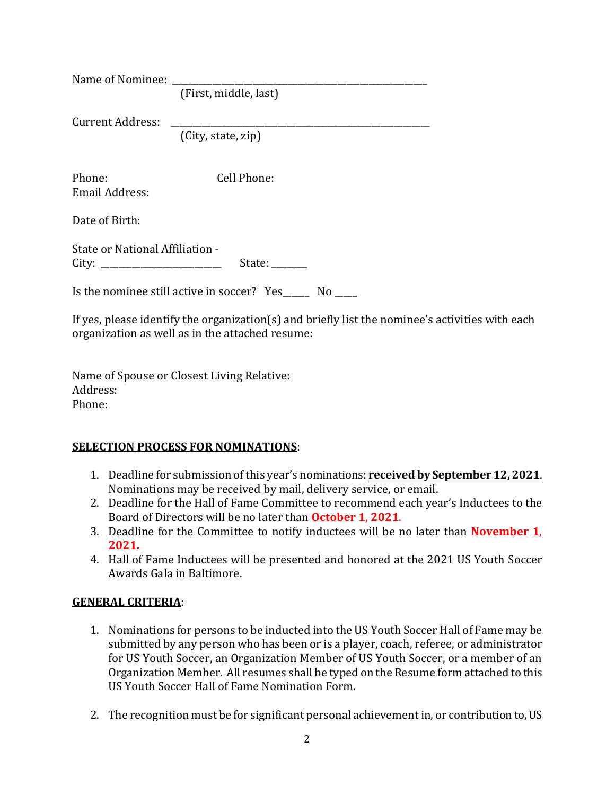| Name of Nominee:                              |                       |
|-----------------------------------------------|-----------------------|
|                                               | (First, middle, last) |
| Current Address:                              |                       |
|                                               | (City, state, zip)    |
|                                               |                       |
| Phone:<br>Email Address:                      | Cell Phone:           |
| Date of Birth:                                |                       |
| State or National Affiliation -<br>State:     |                       |
| Is the nominee still active in soccer? Yes No |                       |

If yes, please identify the organization(s) and briefly list the nominee's activities with each organization as well as in the attached resume:

Name of Spouse or Closest Living Relative: Address: Phone:

#### **SELECTION PROCESS FOR NOMINATIONS**:

- 1. Deadline for submission of this year's nominations: **received by September 12, 2021**. Nominations may be received by mail, delivery service, or email.
- 2. Deadline for the Hall of Fame Committee to recommend each year's Inductees to the Board of Directors will be no later than **October 1**, **2021**.
- 3. Deadline for the Committee to notify inductees will be no later than **November 1**, **2021.**
- 4. Hall of Fame Inductees will be presented and honored at the 2021 US Youth Soccer Awards Gala in Baltimore.

#### **GENERAL CRITERIA**:

- 1. Nominations for persons to be inducted into the US Youth Soccer Hall of Fame may be submitted by any person who has been or is a player, coach, referee, or administrator for US Youth Soccer, an Organization Member of US Youth Soccer, or a member of an Organization Member. All resumes shall be typed on the Resume form attached to this US Youth Soccer Hall of Fame Nomination Form.
- 2. The recognition must be for significant personal achievement in, or contribution to, US